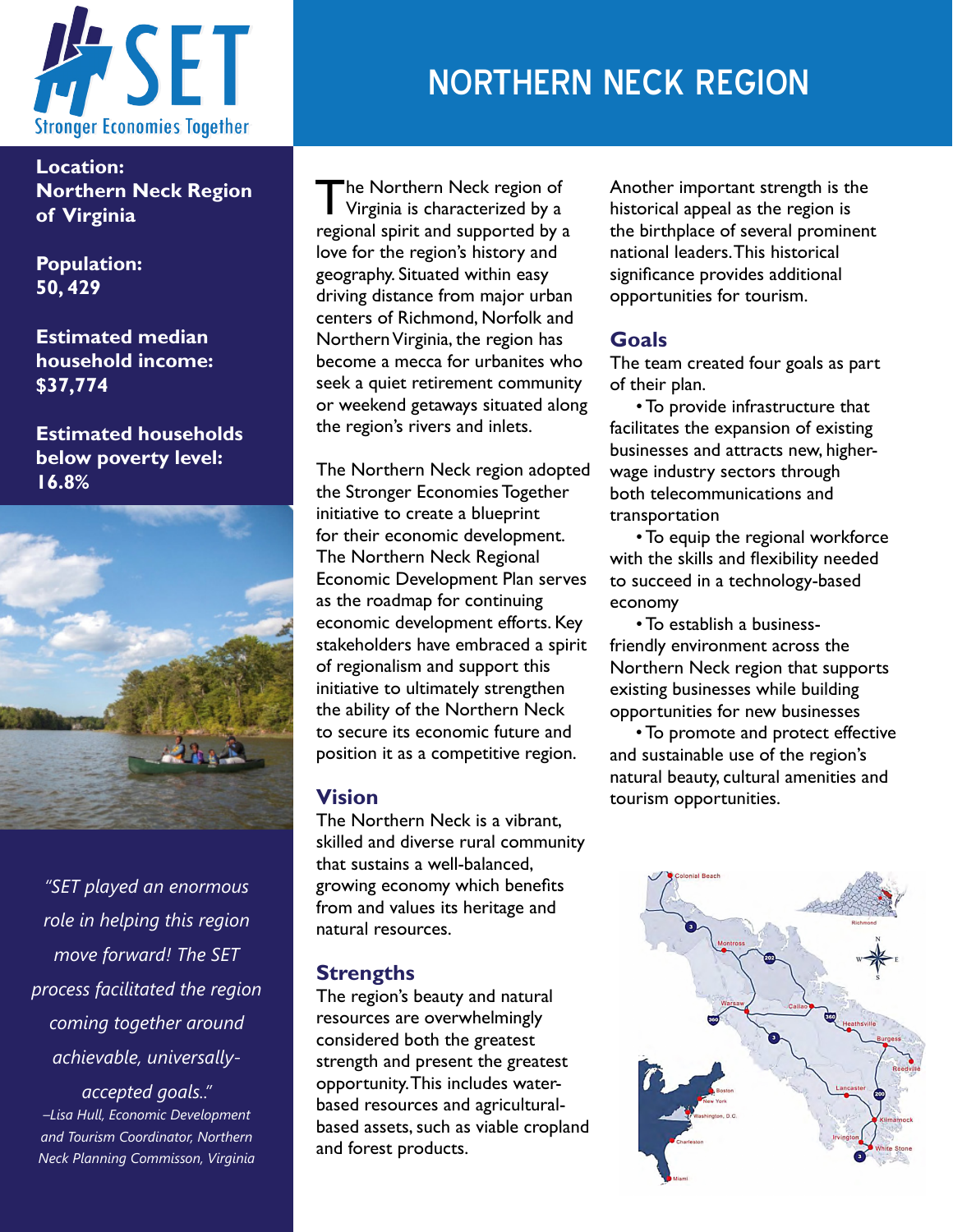

**Location: Northern Neck Region of Virginia**

**Population: 50, 429** 

**Estimated median household income: \$37,774**

**Estimated households below poverty level: 16.8%**



*"SET played an enormous role in helping this region move forward! The SET process facilitated the region coming together around achievable, universally-*

*accepted goals.." –Lisa Hull, Economic Development and Tourism Coordinator, Northern Neck Planning Commisson, Virginia*

# NORTHERN NECK REGION

The Northern Neck region of Virginia is characterized by a regional spirit and supported by a love for the region's history and geography. Situated within easy driving distance from major urban centers of Richmond, Norfolk and Northern Virginia, the region has become a mecca for urbanites who seek a quiet retirement community or weekend getaways situated along the region's rivers and inlets.

The Northern Neck region adopted the Stronger Economies Together initiative to create a blueprint for their economic development. The Northern Neck Regional Economic Development Plan serves as the roadmap for continuing economic development efforts. Key stakeholders have embraced a spirit of regionalism and support this initiative to ultimately strengthen the ability of the Northern Neck to secure its economic future and position it as a competitive region.

#### **Vision**

The Northern Neck is a vibrant, skilled and diverse rural community that sustains a well-balanced, growing economy which benefits from and values its heritage and natural resources.

### **Strengths**

The region's beauty and natural resources are overwhelmingly considered both the greatest strength and present the greatest opportunity. This includes waterbased resources and agriculturalbased assets, such as viable cropland and forest products.

Another important strength is the historical appeal as the region is the birthplace of several prominent national leaders. This historical significance provides additional opportunities for tourism.

#### **Goals**

The team created four goals as part of their plan.

 • To provide infrastructure that facilitates the expansion of existing businesses and attracts new, higherwage industry sectors through both telecommunications and transportation

 • To equip the regional workforce with the skills and flexibility needed to succeed in a technology-based economy

 • To establish a businessfriendly environment across the Northern Neck region that supports existing businesses while building opportunities for new businesses

 • To promote and protect effective and sustainable use of the region's natural beauty, cultural amenities and tourism opportunities.